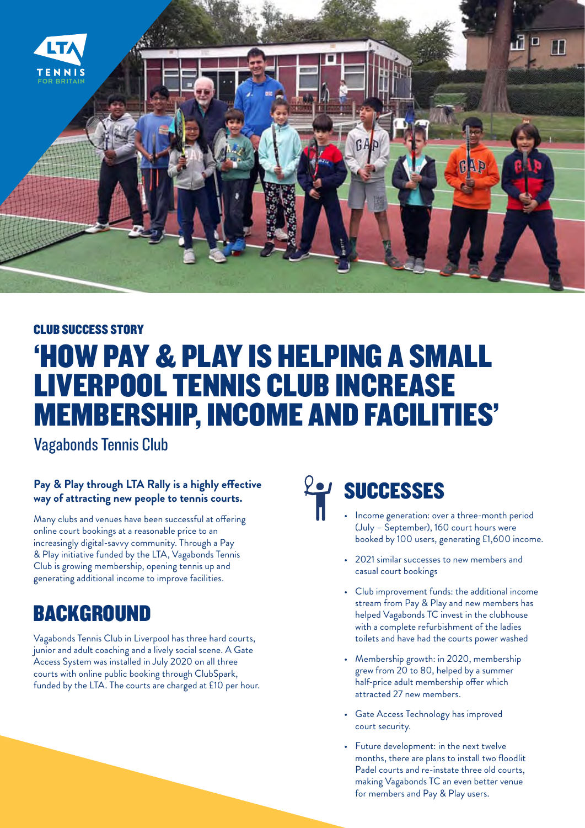

#### CLUB SUCCESS STORY

## 'HOW PAY & PLAY IS HELPING A SMALL LIVERPOOL TENNIS CLUB INCREASE MEMBERSHIP, INCOME AND FACILITIES'

Vagabonds Tennis Club

#### **Pay & Play through LTA Rally is a highly effective way of attracting new people to tennis courts.**

Many clubs and venues have been successful at offering online court bookings at a reasonable price to an increasingly digital-savvy community. Through a Pay & Play initiative funded by the LTA, Vagabonds Tennis Club is growing membership, opening tennis up and generating additional income to improve facilities.

## BACKGROUND

Vagabonds Tennis Club in Liverpool has three hard courts, junior and adult coaching and a lively social scene. A Gate Access System was installed in July 2020 on all three courts with online public booking through ClubSpark, funded by the LTA. The courts are charged at £10 per hour.

# **EP SUCCESSES**

- Income generation: over a three-month period (July – September), 160 court hours were booked by 100 users, generating £1,600 income.
- 2021 similar successes to new members and casual court bookings
- Club improvement funds: the additional income stream from Pay & Play and new members has helped Vagabonds TC invest in the clubhouse with a complete refurbishment of the ladies toilets and have had the courts power washed
- Membership growth: in 2020, membership grew from 20 to 80, helped by a summer half-price adult membership offer which attracted 27 new members.
- Gate Access Technology has improved court security.
- Future development: in the next twelve months, there are plans to install two floodlit Padel courts and re-instate three old courts, making Vagabonds TC an even better venue for members and Pay & Play users.